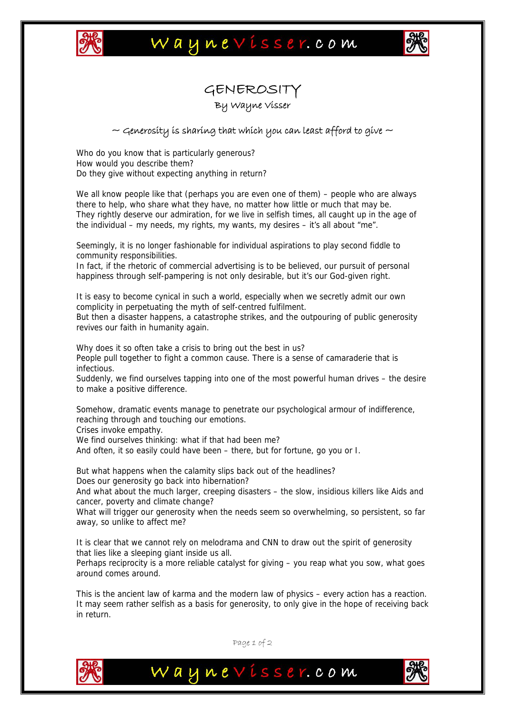

## Waynevisser.com



## GENEROSITY

By Wayne Visser

## $\sim$  Generosity is sharing that which you can least afford to give  $\sim$

Who do you know that is particularly generous? How would you describe them? Do they give without expecting anything in return?

We all know people like that (perhaps you are even one of them) – people who are always there to help, who share what they have, no matter how little or much that may be. They rightly deserve our admiration, for we live in selfish times, all caught up in the age of the individual – my needs, my rights, my wants, my desires – it's all about "me".

Seemingly, it is no longer fashionable for individual aspirations to play second fiddle to community responsibilities.

In fact, if the rhetoric of commercial advertising is to be believed, our pursuit of personal happiness through self-pampering is not only desirable, but it's our God-given right.

It is easy to become cynical in such a world, especially when we secretly admit our own complicity in perpetuating the myth of self-centred fulfilment.

But then a disaster happens, a catastrophe strikes, and the outpouring of public generosity revives our faith in humanity again.

Why does it so often take a crisis to bring out the best in us? People pull together to fight a common cause. There is a sense of camaraderie that is infectious.

Suddenly, we find ourselves tapping into one of the most powerful human drives – the desire to make a positive difference.

Somehow, dramatic events manage to penetrate our psychological armour of indifference, reaching through and touching our emotions.

Crises invoke empathy.

We find ourselves thinking: what if that had been me?

And often, it so easily could have been – there, but for fortune, go you or I.

But what happens when the calamity slips back out of the headlines? Does our generosity go back into hibernation?

And what about the much larger, creeping disasters – the slow, insidious killers like Aids and cancer, poverty and climate change?

What will trigger our generosity when the needs seem so overwhelming, so persistent, so far away, so unlike to affect me?

It is clear that we cannot rely on melodrama and CNN to draw out the spirit of generosity that lies like a sleeping giant inside us all.

Perhaps reciprocity is a more reliable catalyst for giving – you reap what you sow, what goes around comes around.

This is the ancient law of karma and the modern law of physics – every action has a reaction. It may seem rather selfish as a basis for generosity, to only give in the hope of receiving back in return.



Page 1 of 2